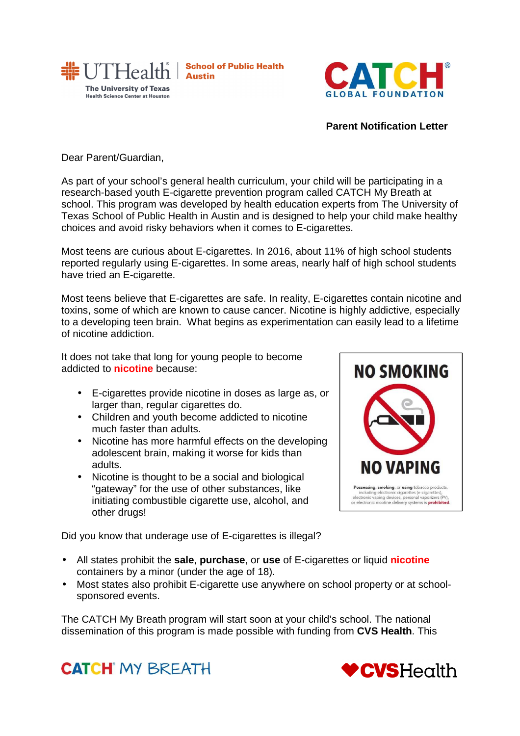

**School of Public Health Austin** 



## **Parent Notification Letter**

Dear Parent/Guardian,

As part of your school's general health curriculum, your child will be participating in a research-based youth E-cigarette prevention program called CATCH My Breath at school. This program was developed by health education experts from The University of Texas School of Public Health in Austin and is designed to help your child make healthy choices and avoid risky behaviors when it comes to E-cigarettes.

Most teens are curious about E-cigarettes. In 2016, about 11% of high school students reported regularly using E-cigarettes. In some areas, nearly half of high school students have tried an E-cigarette.

Most teens believe that E-cigarettes are safe. In reality, E-cigarettes contain nicotine and toxins, some of which are known to cause cancer. Nicotine is highly addictive, especially to a developing teen brain. What begins as experimentation can easily lead to a lifetime of nicotine addiction.

It does not take that long for young people to become addicted to **nicotine** because:

- E-cigarettes provide nicotine in doses as large as, or larger than, regular cigarettes do.
- Children and youth become addicted to nicotine much faster than adults.
- Nicotine has more harmful effects on the developing adolescent brain, making it worse for kids than adults.
- Nicotine is thought to be a social and biological "gateway" for the use of other substances, like initiating combustible cigarette use, alcohol, and other drugs!

**NO SMOKING** NO VAPING Possessing, smoking, or using toba .<br>Ha including electronic cigarettes (e-cigarettes),<br>electronic vaping devices, personal vaporizers (l<br>or electronic nicotine delivery systems is **prohibi** 

Did you know that underage use of E-cigarettes is illegal?

- All states prohibit the **sale**, **purchase**, or **use** of E-cigarettes or liquid **nicotine** containers by a minor (under the age of 18).
- Most states also prohibit E-cigarette use anywhere on school property or at schoolsponsored events.

The CATCH My Breath program will start soon at your child's school. The national dissemination of this program is made possible with funding from **CVS Health**. This